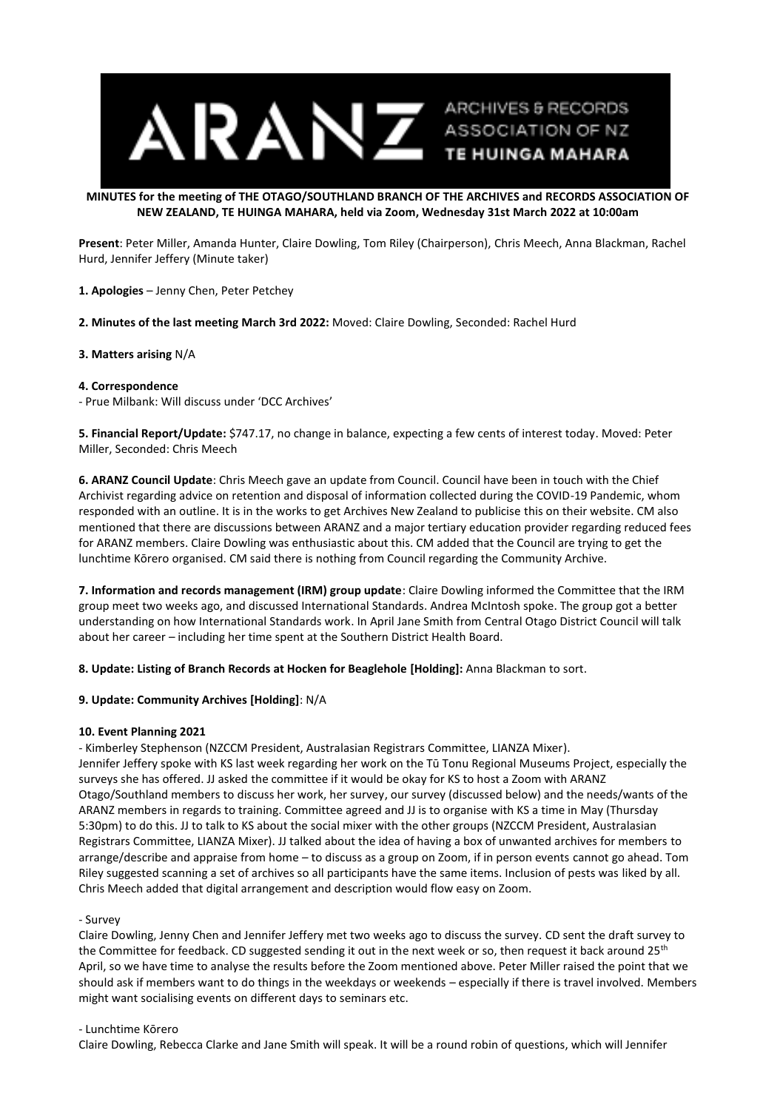

#### **MINUTES for the meeting of THE OTAGO/SOUTHLAND BRANCH OF THE ARCHIVES and RECORDS ASSOCIATION OF NEW ZEALAND, TE HUINGA MAHARA, held via Zoom, Wednesday 31st March 2022 at 10:00am**

**Present**: Peter Miller, Amanda Hunter, Claire Dowling, Tom Riley (Chairperson), Chris Meech, Anna Blackman, Rachel Hurd, Jennifer Jeffery (Minute taker)

**1. Apologies** – Jenny Chen, Peter Petchey

**2. Minutes of the last meeting March 3rd 2022:** Moved: Claire Dowling, Seconded: Rachel Hurd

## **3. Matters arising** N/A

#### **4. Correspondence**

- Prue Milbank: Will discuss under 'DCC Archives'

**5. Financial Report/Update:** \$747.17, no change in balance, expecting a few cents of interest today. Moved: Peter Miller, Seconded: Chris Meech

**6. ARANZ Council Update**: Chris Meech gave an update from Council. Council have been in touch with the Chief Archivist regarding advice on retention and disposal of information collected during the COVID-19 Pandemic, whom responded with an outline. It is in the works to get Archives New Zealand to publicise this on their website. CM also mentioned that there are discussions between ARANZ and a major tertiary education provider regarding reduced fees for ARANZ members. Claire Dowling was enthusiastic about this. CM added that the Council are trying to get the lunchtime Kōrero organised. CM said there is nothing from Council regarding the Community Archive.

**7. Information and records management (IRM) group update**: Claire Dowling informed the Committee that the IRM group meet two weeks ago, and discussed International Standards. Andrea McIntosh spoke. The group got a better understanding on how International Standards work. In April Jane Smith from Central Otago District Council will talk about her career – including her time spent at the Southern District Health Board.

**8. Update: Listing of Branch Records at Hocken for Beaglehole [Holding]:** Anna Blackman to sort.

## **9. Update: Community Archives [Holding]**: N/A

## **10. Event Planning 2021**

- Kimberley Stephenson (NZCCM President, Australasian Registrars Committee, LIANZA Mixer). Jennifer Jeffery spoke with KS last week regarding her work on the Tū Tonu Regional Museums Project, especially the surveys she has offered. JJ asked the committee if it would be okay for KS to host a Zoom with ARANZ Otago/Southland members to discuss her work, her survey, our survey (discussed below) and the needs/wants of the ARANZ members in regards to training. Committee agreed and JJ is to organise with KS a time in May (Thursday 5:30pm) to do this. JJ to talk to KS about the social mixer with the other groups (NZCCM President, Australasian Registrars Committee, LIANZA Mixer). JJ talked about the idea of having a box of unwanted archives for members to arrange/describe and appraise from home – to discuss as a group on Zoom, if in person events cannot go ahead. Tom Riley suggested scanning a set of archives so all participants have the same items. Inclusion of pests was liked by all. Chris Meech added that digital arrangement and description would flow easy on Zoom.

#### - Survey

Claire Dowling, Jenny Chen and Jennifer Jeffery met two weeks ago to discuss the survey. CD sent the draft survey to the Committee for feedback. CD suggested sending it out in the next week or so, then request it back around 25<sup>th</sup> April, so we have time to analyse the results before the Zoom mentioned above. Peter Miller raised the point that we should ask if members want to do things in the weekdays or weekends – especially if there is travel involved. Members might want socialising events on different days to seminars etc.

#### - Lunchtime Kōrero

Claire Dowling, Rebecca Clarke and Jane Smith will speak. It will be a round robin of questions, which will Jennifer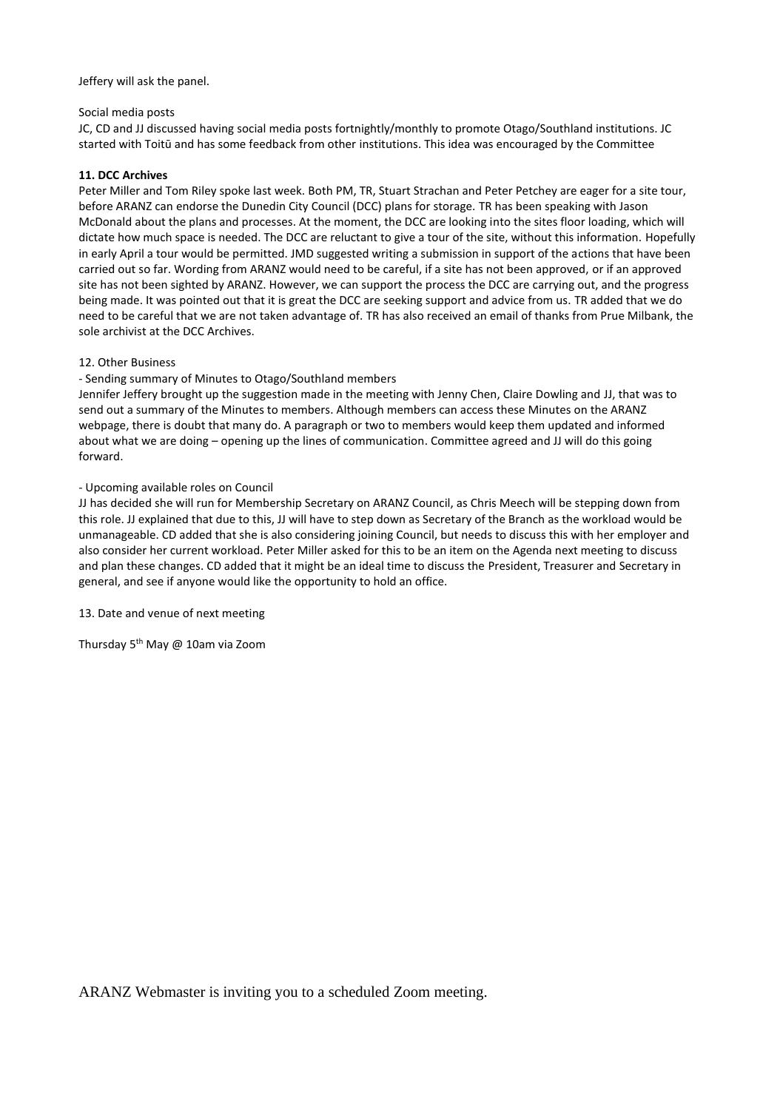Jeffery will ask the panel.

#### Social media posts

JC, CD and JJ discussed having social media posts fortnightly/monthly to promote Otago/Southland institutions. JC started with Toitū and has some feedback from other institutions. This idea was encouraged by the Committee

#### **11. DCC Archives**

Peter Miller and Tom Riley spoke last week. Both PM, TR, Stuart Strachan and Peter Petchey are eager for a site tour, before ARANZ can endorse the Dunedin City Council (DCC) plans for storage. TR has been speaking with Jason McDonald about the plans and processes. At the moment, the DCC are looking into the sites floor loading, which will dictate how much space is needed. The DCC are reluctant to give a tour of the site, without this information. Hopefully in early April a tour would be permitted. JMD suggested writing a submission in support of the actions that have been carried out so far. Wording from ARANZ would need to be careful, if a site has not been approved, or if an approved site has not been sighted by ARANZ. However, we can support the process the DCC are carrying out, and the progress being made. It was pointed out that it is great the DCC are seeking support and advice from us. TR added that we do need to be careful that we are not taken advantage of. TR has also received an email of thanks from Prue Milbank, the sole archivist at the DCC Archives.

#### 12. Other Business

# - Sending summary of Minutes to Otago/Southland members

Jennifer Jeffery brought up the suggestion made in the meeting with Jenny Chen, Claire Dowling and JJ, that was to send out a summary of the Minutes to members. Although members can access these Minutes on the ARANZ webpage, there is doubt that many do. A paragraph or two to members would keep them updated and informed about what we are doing – opening up the lines of communication. Committee agreed and JJ will do this going forward.

#### - Upcoming available roles on Council

JJ has decided she will run for Membership Secretary on ARANZ Council, as Chris Meech will be stepping down from this role. JJ explained that due to this, JJ will have to step down as Secretary of the Branch as the workload would be unmanageable. CD added that she is also considering joining Council, but needs to discuss this with her employer and also consider her current workload. Peter Miller asked for this to be an item on the Agenda next meeting to discuss and plan these changes. CD added that it might be an ideal time to discuss the President, Treasurer and Secretary in general, and see if anyone would like the opportunity to hold an office.

13. Date and venue of next meeting

Thursday 5<sup>th</sup> May @ 10am via Zoom

ARANZ Webmaster is inviting you to a scheduled Zoom meeting.